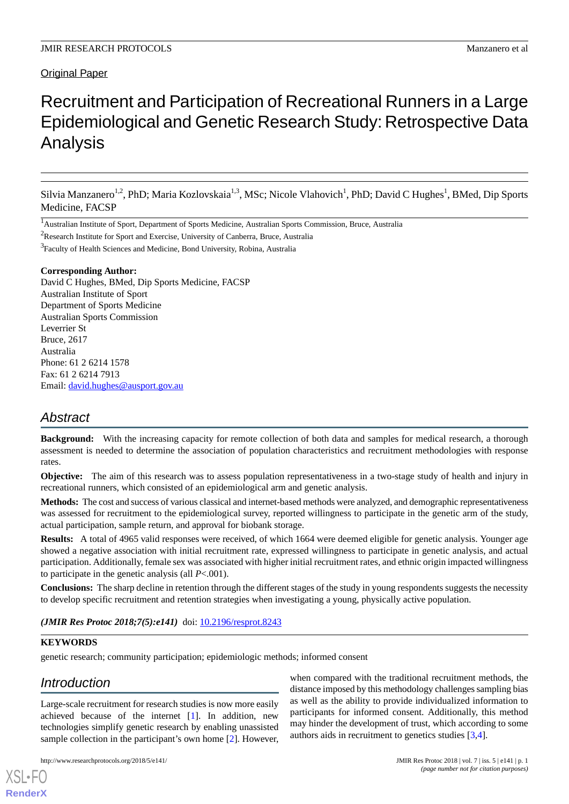## Original Paper

# Recruitment and Participation of Recreational Runners in a Large Epidemiological and Genetic Research Study: Retrospective Data Analysis

Silvia Manzanero<sup>1,2</sup>, PhD; Maria Kozlovskaia<sup>1,3</sup>, MSc; Nicole Vlahovich<sup>1</sup>, PhD; David C Hughes<sup>1</sup>, BMed, Dip Sports Medicine, FACSP

<sup>1</sup>Australian Institute of Sport, Department of Sports Medicine, Australian Sports Commission, Bruce, Australia

<sup>2</sup>Research Institute for Sport and Exercise, University of Canberra, Bruce, Australia

<sup>3</sup> Faculty of Health Sciences and Medicine, Bond University, Robina, Australia

### **Corresponding Author:**

David C Hughes, BMed, Dip Sports Medicine, FACSP Australian Institute of Sport Department of Sports Medicine Australian Sports Commission Leverrier St Bruce, 2617 Australia Phone: 61 2 6214 1578 Fax: 61 2 6214 7913 Email: [david.hughes@ausport.gov.au](mailto:david.hughes@ausport.gov.au)

## *Abstract*

**Background:** With the increasing capacity for remote collection of both data and samples for medical research, a thorough assessment is needed to determine the association of population characteristics and recruitment methodologies with response rates.

**Objective:** The aim of this research was to assess population representativeness in a two-stage study of health and injury in recreational runners, which consisted of an epidemiological arm and genetic analysis.

**Methods:** The cost and success of various classical and internet-based methods were analyzed, and demographic representativeness was assessed for recruitment to the epidemiological survey, reported willingness to participate in the genetic arm of the study, actual participation, sample return, and approval for biobank storage.

**Results:** A total of 4965 valid responses were received, of which 1664 were deemed eligible for genetic analysis. Younger age showed a negative association with initial recruitment rate, expressed willingness to participate in genetic analysis, and actual participation. Additionally, female sex was associated with higher initial recruitment rates, and ethnic origin impacted willingness to participate in the genetic analysis (all *P*<.001).

**Conclusions:** The sharp decline in retention through the different stages of the study in young respondents suggests the necessity to develop specific recruitment and retention strategies when investigating a young, physically active population.

(JMIR Res Protoc 2018;7(5):e141) doi: [10.2196/resprot.8243](http://dx.doi.org/10.2196/resprot.8243)

### **KEYWORDS**

[XSL](http://www.w3.org/Style/XSL)•FO **[RenderX](http://www.renderx.com/)**

genetic research; community participation; epidemiologic methods; informed consent

## *Introduction*

Large-scale recruitment for research studies is now more easily achieved because of the internet [\[1](#page-9-0)]. In addition, new technologies simplify genetic research by enabling unassisted sample collection in the participant's own home [\[2](#page-9-1)]. However,

participants for informed consent. Additionally, this method may hinder the development of trust, which according to some authors aids in recruitment to genetics studies [\[3](#page-9-2),[4\]](#page-9-3).

when compared with the traditional recruitment methods, the distance imposed by this methodology challenges sampling bias as well as the ability to provide individualized information to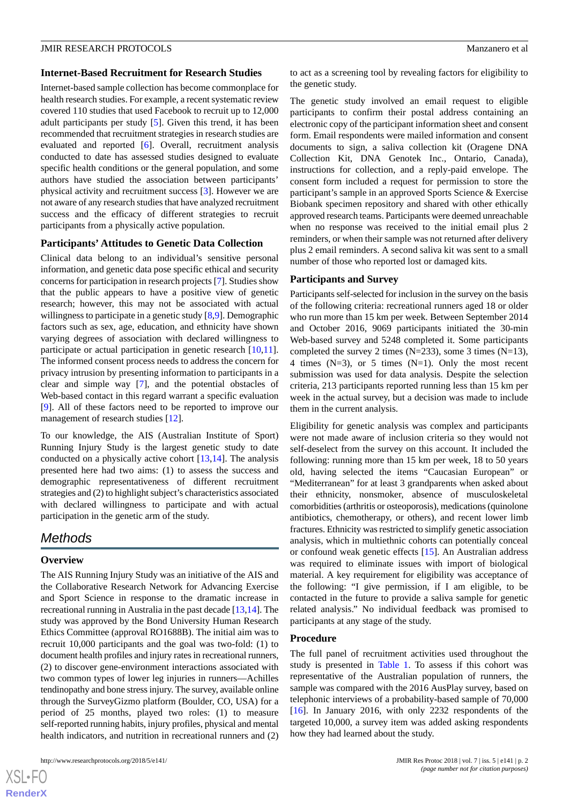### **Internet-Based Recruitment for Research Studies**

Internet-based sample collection has become commonplace for health research studies. For example, a recent systematic review covered 110 studies that used Facebook to recruit up to 12,000 adult participants per study [[5\]](#page-9-4). Given this trend, it has been recommended that recruitment strategies in research studies are evaluated and reported [[6\]](#page-9-5). Overall, recruitment analysis conducted to date has assessed studies designed to evaluate specific health conditions or the general population, and some authors have studied the association between participants' physical activity and recruitment success [[3\]](#page-9-2). However we are not aware of any research studies that have analyzed recruitment success and the efficacy of different strategies to recruit participants from a physically active population.

### **Participants' Attitudes to Genetic Data Collection**

Clinical data belong to an individual's sensitive personal information, and genetic data pose specific ethical and security concerns for participation in research projects [[7\]](#page-9-6). Studies show that the public appears to have a positive view of genetic research; however, this may not be associated with actual willingness to participate in a genetic study [\[8](#page-9-7),[9\]](#page-9-8). Demographic factors such as sex, age, education, and ethnicity have shown varying degrees of association with declared willingness to participate or actual participation in genetic research [\[10](#page-9-9),[11\]](#page-9-10). The informed consent process needs to address the concern for privacy intrusion by presenting information to participants in a clear and simple way [[7\]](#page-9-6), and the potential obstacles of Web-based contact in this regard warrant a specific evaluation [[9\]](#page-9-8). All of these factors need to be reported to improve our management of research studies [\[12](#page-9-11)].

To our knowledge, the AIS (Australian Institute of Sport) Running Injury Study is the largest genetic study to date conducted on a physically active cohort [[13,](#page-9-12)[14](#page-9-13)]. The analysis presented here had two aims: (1) to assess the success and demographic representativeness of different recruitment strategies and (2) to highlight subject's characteristics associated with declared willingness to participate and with actual participation in the genetic arm of the study.

### *Methods*

### **Overview**

The AIS Running Injury Study was an initiative of the AIS and the Collaborative Research Network for Advancing Exercise and Sport Science in response to the dramatic increase in recreational running in Australia in the past decade [\[13](#page-9-12),[14](#page-9-13)]. The study was approved by the Bond University Human Research Ethics Committee (approval RO1688B). The initial aim was to recruit 10,000 participants and the goal was two-fold: (1) to document health profiles and injury rates in recreational runners, (2) to discover gene-environment interactions associated with two common types of lower leg injuries in runners—Achilles tendinopathy and bone stress injury. The survey, available online through the SurveyGizmo platform (Boulder, CO, USA) for a period of 25 months, played two roles: (1) to measure self-reported running habits, injury profiles, physical and mental health indicators, and nutrition in recreational runners and (2)

to act as a screening tool by revealing factors for eligibility to the genetic study.

The genetic study involved an email request to eligible participants to confirm their postal address containing an electronic copy of the participant information sheet and consent form. Email respondents were mailed information and consent documents to sign, a saliva collection kit (Oragene DNA Collection Kit, DNA Genotek Inc., Ontario, Canada), instructions for collection, and a reply-paid envelope. The consent form included a request for permission to store the participant's sample in an approved Sports Science & Exercise Biobank specimen repository and shared with other ethically approved research teams. Participants were deemed unreachable when no response was received to the initial email plus 2 reminders, or when their sample was not returned after delivery plus 2 email reminders. A second saliva kit was sent to a small number of those who reported lost or damaged kits.

### **Participants and Survey**

Participants self-selected for inclusion in the survey on the basis of the following criteria: recreational runners aged 18 or older who run more than 15 km per week. Between September 2014 and October 2016, 9069 participants initiated the 30-min Web-based survey and 5248 completed it. Some participants completed the survey 2 times  $(N=233)$ , some 3 times  $(N=13)$ , 4 times  $(N=3)$ , or 5 times  $(N=1)$ . Only the most recent submission was used for data analysis. Despite the selection criteria, 213 participants reported running less than 15 km per week in the actual survey, but a decision was made to include them in the current analysis.

Eligibility for genetic analysis was complex and participants were not made aware of inclusion criteria so they would not self-deselect from the survey on this account. It included the following: running more than 15 km per week, 18 to 50 years old, having selected the items "Caucasian European" or "Mediterranean" for at least 3 grandparents when asked about their ethnicity, nonsmoker, absence of musculoskeletal comorbidities (arthritis or osteoporosis), medications (quinolone antibiotics, chemotherapy, or others), and recent lower limb fractures. Ethnicity was restricted to simplify genetic association analysis, which in multiethnic cohorts can potentially conceal or confound weak genetic effects [\[15](#page-9-14)]. An Australian address was required to eliminate issues with import of biological material. A key requirement for eligibility was acceptance of the following: "I give permission, if I am eligible, to be contacted in the future to provide a saliva sample for genetic related analysis." No individual feedback was promised to participants at any stage of the study.

### **Procedure**

The full panel of recruitment activities used throughout the study is presented in [Table 1](#page-2-0). To assess if this cohort was representative of the Australian population of runners, the sample was compared with the 2016 AusPlay survey, based on telephonic interviews of a probability-based sample of 70,000 [[16\]](#page-9-15). In January 2016, with only 2232 respondents of the targeted 10,000, a survey item was added asking respondents how they had learned about the study.

 $XS$ -FO **[RenderX](http://www.renderx.com/)**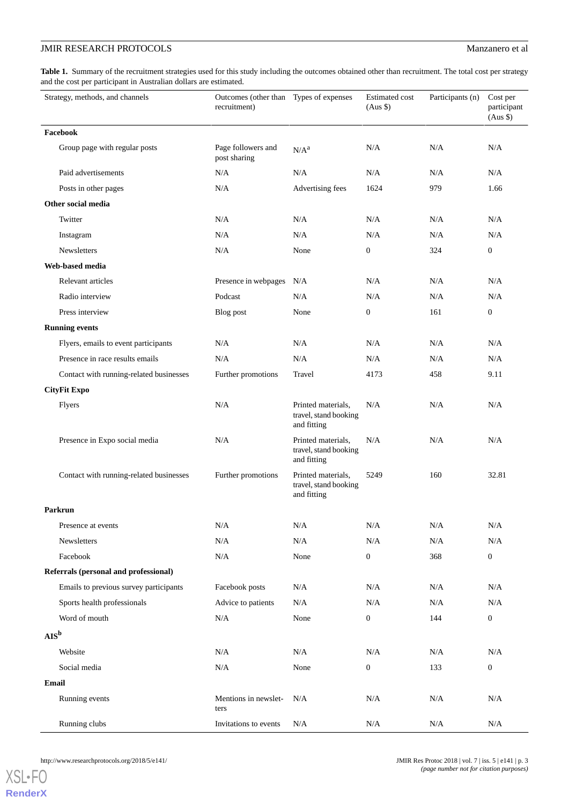<span id="page-2-0"></span>Table 1. Summary of the recruitment strategies used for this study including the outcomes obtained other than recruitment. The total cost per strategy and the cost per participant in Australian dollars are estimated.

| Strategy, methods, and channels         | Outcomes (other than Types of expenses<br>recruitment) |                                                            | <b>Estimated</b> cost<br>$(Aus \$ | Participants (n) | Cost per<br>participant<br>$(Aus \$ |
|-----------------------------------------|--------------------------------------------------------|------------------------------------------------------------|-----------------------------------|------------------|-------------------------------------|
| Facebook                                |                                                        |                                                            |                                   |                  |                                     |
| Group page with regular posts           | Page followers and<br>post sharing                     | N/A <sup>a</sup>                                           | N/A                               | N/A              | N/A                                 |
| Paid advertisements                     | N/A                                                    | N/A                                                        | N/A                               | N/A              | N/A                                 |
| Posts in other pages                    | N/A                                                    | Advertising fees                                           | 1624                              | 979              | 1.66                                |
| Other social media                      |                                                        |                                                            |                                   |                  |                                     |
| Twitter                                 | N/A                                                    | N/A                                                        | N/A                               | N/A              | N/A                                 |
| Instagram                               | N/A                                                    | N/A                                                        | N/A                               | N/A              | N/A                                 |
| <b>Newsletters</b>                      | N/A                                                    | None                                                       | $\boldsymbol{0}$                  | 324              | $\boldsymbol{0}$                    |
| Web-based media                         |                                                        |                                                            |                                   |                  |                                     |
| Relevant articles                       | Presence in webpages                                   | N/A                                                        | N/A                               | N/A              | N/A                                 |
| Radio interview                         | Podcast                                                | N/A                                                        | N/A                               | N/A              | N/A                                 |
| Press interview                         | Blog post                                              | None                                                       | $\boldsymbol{0}$                  | 161              | $\mathbf{0}$                        |
| <b>Running events</b>                   |                                                        |                                                            |                                   |                  |                                     |
| Flyers, emails to event participants    | N/A                                                    | N/A                                                        | N/A                               | N/A              | N/A                                 |
| Presence in race results emails         | N/A                                                    | N/A                                                        | N/A                               | N/A              | N/A                                 |
| Contact with running-related businesses | Further promotions                                     | Travel                                                     | 4173                              | 458              | 9.11                                |
| <b>CityFit Expo</b>                     |                                                        |                                                            |                                   |                  |                                     |
| Flyers                                  | N/A                                                    | Printed materials,<br>travel, stand booking<br>and fitting | N/A                               | N/A              | N/A                                 |
| Presence in Expo social media           | N/A                                                    | Printed materials,<br>travel, stand booking<br>and fitting | N/A                               | N/A              | N/A                                 |
| Contact with running-related businesses | Further promotions                                     | Printed materials,<br>travel, stand booking<br>and fitting | 5249                              | 160              | 32.81                               |
| <b>Parkrun</b>                          |                                                        |                                                            |                                   |                  |                                     |
| Presence at events                      | N/A                                                    | N/A                                                        | N/A                               | N/A              | $\rm N/A$                           |
| Newsletters                             | N/A                                                    | N/A                                                        | N/A                               | N/A              | N/A                                 |
| Facebook                                | N/A                                                    | None                                                       | $\boldsymbol{0}$                  | 368              | $\boldsymbol{0}$                    |
| Referrals (personal and professional)   |                                                        |                                                            |                                   |                  |                                     |
| Emails to previous survey participants  | Facebook posts                                         | N/A                                                        | N/A                               | $\rm N/A$        | $\rm N/A$                           |
| Sports health professionals             | Advice to patients                                     | $\rm N/A$                                                  | N/A                               | $\rm N/A$        | $\rm N/A$                           |
| Word of mouth                           | N/A                                                    | None                                                       | $\boldsymbol{0}$                  | 144              | $\boldsymbol{0}$                    |
| $\mathbf{AIS}^{\mathbf{b}}$             |                                                        |                                                            |                                   |                  |                                     |
| Website                                 | N/A                                                    | N/A                                                        | N/A                               | N/A              | N/A                                 |
| Social media                            | $\rm N/A$                                              | None                                                       | $\boldsymbol{0}$                  | 133              | $\boldsymbol{0}$                    |
| Email                                   |                                                        |                                                            |                                   |                  |                                     |
| Running events                          | Mentions in newslet-<br>ters                           | N/A                                                        | N/A                               | N/A              | N/A                                 |
| Running clubs                           | Invitations to events                                  | $\rm N/A$                                                  | $\rm N/A$                         | $\rm N/A$        | $\rm N/A$                           |

[XSL](http://www.w3.org/Style/XSL)•FO **[RenderX](http://www.renderx.com/)**

http://www.researchprotocols.org/2018/5/e141/ JMIR Res Protoc 2018 | vol. 7 | iss. 5 | e141 | p. 3 *(page number not for citation purposes)*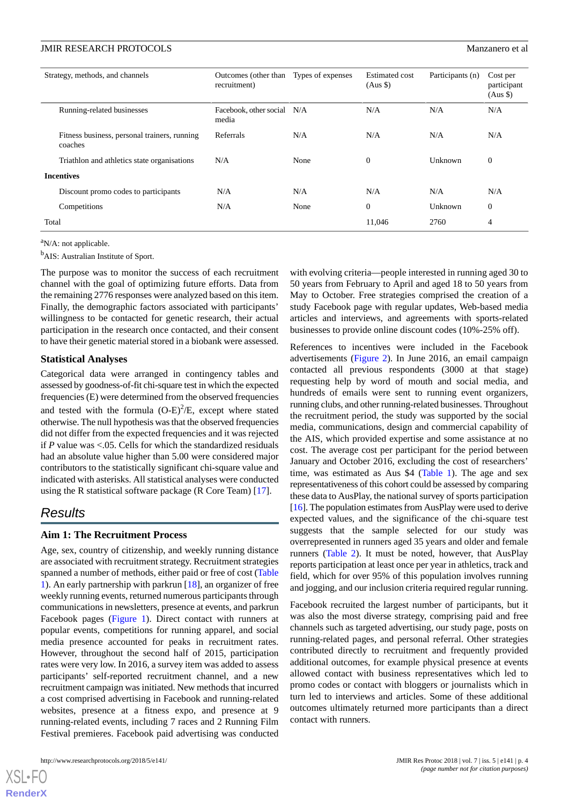| Strategy, methods, and channels |                                                         | Outcomes (other than<br>recruitment) | Types of expenses | Estimated cost<br>$(Aus \$ | Participants (n) | Cost per<br>participant<br>$(Aus \$ |
|---------------------------------|---------------------------------------------------------|--------------------------------------|-------------------|----------------------------|------------------|-------------------------------------|
|                                 | Running-related businesses                              | Facebook, other social N/A<br>media  |                   | N/A                        | N/A              | N/A                                 |
|                                 | Fitness business, personal trainers, running<br>coaches | Referrals                            | N/A               | N/A                        | N/A              | N/A                                 |
|                                 | Triathlon and athletics state organisations             | N/A                                  | None              | $\overline{0}$             | Unknown          | $\mathbf{0}$                        |
| <b>Incentives</b>               |                                                         |                                      |                   |                            |                  |                                     |
|                                 | Discount promo codes to participants                    | N/A                                  | N/A               | N/A                        | N/A              | N/A                                 |
|                                 | Competitions                                            | N/A                                  | None              | $\theta$                   | Unknown          | $\mathbf{0}$                        |
| Total                           |                                                         |                                      |                   | 11,046                     | 2760             | $\overline{4}$                      |

 $\mathrm{a}_{N/A}$ : not applicable.

<sup>b</sup>AIS: Australian Institute of Sport.

The purpose was to monitor the success of each recruitment channel with the goal of optimizing future efforts. Data from the remaining 2776 responses were analyzed based on this item. Finally, the demographic factors associated with participants' willingness to be contacted for genetic research, their actual participation in the research once contacted, and their consent to have their genetic material stored in a biobank were assessed.

### **Statistical Analyses**

Categorical data were arranged in contingency tables and assessed by goodness-of-fit chi-square test in which the expected frequencies (E) were determined from the observed frequencies and tested with the formula  $(O-E)^2/E$ , except where stated otherwise. The null hypothesis was that the observed frequencies did not differ from the expected frequencies and it was rejected if *P* value was <.05. Cells for which the standardized residuals had an absolute value higher than 5.00 were considered major contributors to the statistically significant chi-square value and indicated with asterisks. All statistical analyses were conducted using the R statistical software package (R Core Team) [[17\]](#page-9-16).

### *Results*

### **Aim 1: The Recruitment Process**

Age, sex, country of citizenship, and weekly running distance are associated with recruitment strategy. Recruitment strategies spanned a number of methods, either paid or free of cost ([Table](#page-2-0) [1\)](#page-2-0). An early partnership with parkrun [\[18](#page-10-0)], an organizer of free weekly running events, returned numerous participants through communications in newsletters, presence at events, and parkrun Facebook pages ([Figure 1\)](#page-4-0). Direct contact with runners at popular events, competitions for running apparel, and social media presence accounted for peaks in recruitment rates. However, throughout the second half of 2015, participation rates were very low. In 2016, a survey item was added to assess participants' self-reported recruitment channel, and a new recruitment campaign was initiated. New methods that incurred a cost comprised advertising in Facebook and running-related websites, presence at a fitness expo, and presence at 9 running-related events, including 7 races and 2 Running Film Festival premieres. Facebook paid advertising was conducted

[XSL](http://www.w3.org/Style/XSL)•FO **[RenderX](http://www.renderx.com/)**

with evolving criteria—people interested in running aged 30 to 50 years from February to April and aged 18 to 50 years from May to October. Free strategies comprised the creation of a study Facebook page with regular updates, Web-based media articles and interviews, and agreements with sports-related businesses to provide online discount codes (10%-25% off).

References to incentives were included in the Facebook advertisements [\(Figure 2](#page-4-1)). In June 2016, an email campaign contacted all previous respondents (3000 at that stage) requesting help by word of mouth and social media, and hundreds of emails were sent to running event organizers, running clubs, and other running-related businesses. Throughout the recruitment period, the study was supported by the social media, communications, design and commercial capability of the AIS, which provided expertise and some assistance at no cost. The average cost per participant for the period between January and October 2016, excluding the cost of researchers' time, was estimated as Aus \$4 [\(Table 1\)](#page-2-0). The age and sex representativeness of this cohort could be assessed by comparing these data to AusPlay, the national survey of sports participation [[16\]](#page-9-15). The population estimates from AusPlay were used to derive expected values, and the significance of the chi-square test suggests that the sample selected for our study was overrepresented in runners aged 35 years and older and female runners [\(Table 2](#page-5-0)). It must be noted, however, that AusPlay reports participation at least once per year in athletics, track and field, which for over 95% of this population involves running and jogging, and our inclusion criteria required regular running.

Facebook recruited the largest number of participants, but it was also the most diverse strategy, comprising paid and free channels such as targeted advertising, our study page, posts on running-related pages, and personal referral. Other strategies contributed directly to recruitment and frequently provided additional outcomes, for example physical presence at events allowed contact with business representatives which led to promo codes or contact with bloggers or journalists which in turn led to interviews and articles. Some of these additional outcomes ultimately returned more participants than a direct contact with runners.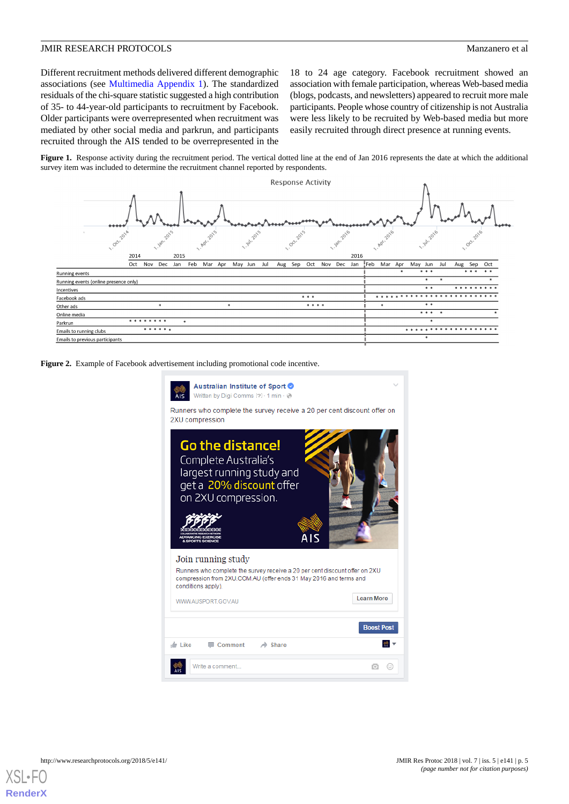Different recruitment methods delivered different demographic associations (see [Multimedia Appendix 1](#page-9-17)). The standardized residuals of the chi-square statistic suggested a high contribution of 35- to 44-year-old participants to recruitment by Facebook. Older participants were overrepresented when recruitment was mediated by other social media and parkrun, and participants recruited through the AIS tended to be overrepresented in the

18 to 24 age category. Facebook recruitment showed an association with female participation, whereas Web-based media (blogs, podcasts, and newsletters) appeared to recruit more male participants. People whose country of citizenship is not Australia were less likely to be recruited by Web-based media but more easily recruited through direct presence at running events.

<span id="page-4-0"></span>Figure 1. Response activity during the recruitment period. The vertical dotted line at the end of Jan 2016 represents the date at which the additional survey item was included to determine the recruitment channel reported by respondents.



<span id="page-4-1"></span>**Figure 2.** Example of Facebook advertisement including promotional code incentive.

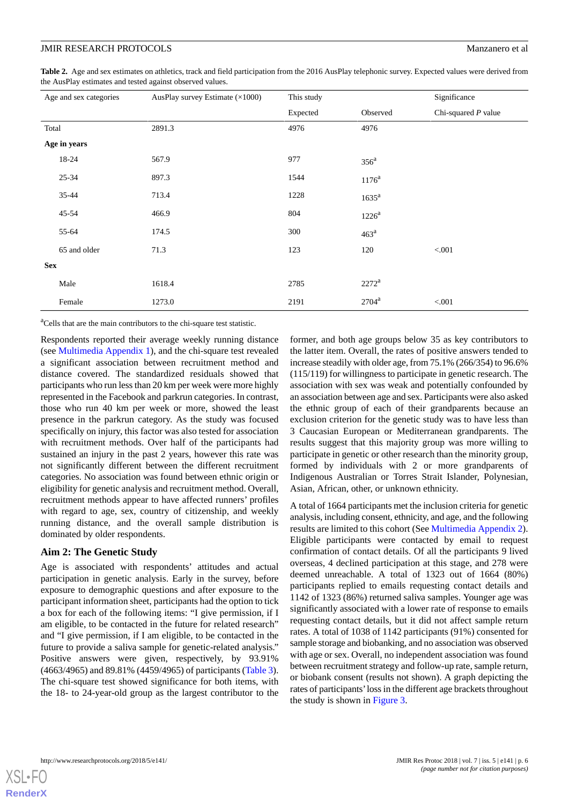<span id="page-5-0"></span>**Table 2.** Age and sex estimates on athletics, track and field participation from the 2016 AusPlay telephonic survey. Expected values were derived from the AusPlay estimates and tested against observed values.

|            | Age and sex categories | AusPlay survey Estimate (×1000) | This study |                  | Significance          |
|------------|------------------------|---------------------------------|------------|------------------|-----------------------|
|            |                        |                                 | Expected   | Observed         | Chi-squared $P$ value |
| Total      |                        | 2891.3                          | 4976       | 4976             |                       |
|            | Age in years           |                                 |            |                  |                       |
|            | 18-24                  | 567.9                           | 977        | $356^a$          |                       |
|            | 25-34                  | 897.3                           | 1544       | $1176^{\rm a}$   |                       |
|            | 35-44                  | 713.4                           | 1228       | $1635^a$         |                       |
|            | $45 - 54$              | 466.9                           | 804        | $1226^a$         |                       |
|            | 55-64                  | 174.5                           | 300        | 463 <sup>a</sup> |                       |
|            | 65 and older           | 71.3                            | 123        | 120              | < 0.001               |
| <b>Sex</b> |                        |                                 |            |                  |                       |
|            | Male                   | 1618.4                          | 2785       | $2272^{\rm a}$   |                       |
|            | Female                 | 1273.0                          | 2191       | $2704^a$         | < 0.001               |

<sup>a</sup>Cells that are the main contributors to the chi-square test statistic.

Respondents reported their average weekly running distance (see [Multimedia Appendix 1](#page-9-17)), and the chi-square test revealed a significant association between recruitment method and distance covered. The standardized residuals showed that participants who run less than 20 km per week were more highly represented in the Facebook and parkrun categories. In contrast, those who run 40 km per week or more, showed the least presence in the parkrun category. As the study was focused specifically on injury, this factor was also tested for association with recruitment methods. Over half of the participants had sustained an injury in the past 2 years, however this rate was not significantly different between the different recruitment categories. No association was found between ethnic origin or eligibility for genetic analysis and recruitment method. Overall, recruitment methods appear to have affected runners' profiles with regard to age, sex, country of citizenship, and weekly running distance, and the overall sample distribution is dominated by older respondents.

### **Aim 2: The Genetic Study**

Age is associated with respondents' attitudes and actual participation in genetic analysis. Early in the survey, before exposure to demographic questions and after exposure to the participant information sheet, participants had the option to tick a box for each of the following items: "I give permission, if I am eligible, to be contacted in the future for related research" and "I give permission, if I am eligible, to be contacted in the future to provide a saliva sample for genetic-related analysis." Positive answers were given, respectively, by 93.91% (4663/4965) and 89.81% (4459/4965) of participants ([Table 3\)](#page-6-0). The chi-square test showed significance for both items, with the 18- to 24-year-old group as the largest contributor to the

former, and both age groups below 35 as key contributors to the latter item. Overall, the rates of positive answers tended to increase steadily with older age, from 75.1% (266/354) to 96.6% (115/119) for willingness to participate in genetic research. The association with sex was weak and potentially confounded by an association between age and sex. Participants were also asked the ethnic group of each of their grandparents because an exclusion criterion for the genetic study was to have less than 3 Caucasian European or Mediterranean grandparents. The results suggest that this majority group was more willing to participate in genetic or other research than the minority group, formed by individuals with 2 or more grandparents of Indigenous Australian or Torres Strait Islander, Polynesian, Asian, African, other, or unknown ethnicity.

A total of 1664 participants met the inclusion criteria for genetic analysis, including consent, ethnicity, and age, and the following results are limited to this cohort (See [Multimedia Appendix 2\)](#page-9-18). Eligible participants were contacted by email to request confirmation of contact details. Of all the participants 9 lived overseas, 4 declined participation at this stage, and 278 were deemed unreachable. A total of 1323 out of 1664 (80%) participants replied to emails requesting contact details and 1142 of 1323 (86%) returned saliva samples. Younger age was significantly associated with a lower rate of response to emails requesting contact details, but it did not affect sample return rates. A total of 1038 of 1142 participants (91%) consented for sample storage and biobanking, and no association was observed with age or sex. Overall, no independent association was found between recruitment strategy and follow-up rate, sample return, or biobank consent (results not shown). A graph depicting the rates of participants'loss in the different age brackets throughout the study is shown in [Figure 3.](#page-6-1)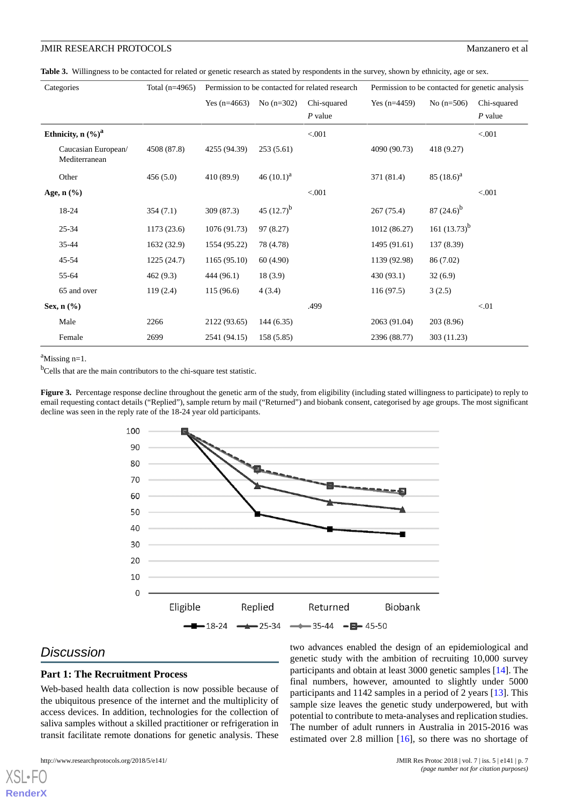<span id="page-6-0"></span>Table 3. Willingness to be contacted for related or genetic research as stated by respondents in the survey, shown by ethnicity, age or sex.

| Categories                           | Total $(n=4965)$ | Permission to be contacted for related research |                 |             | Permission to be contacted for genetic analysis |                 |             |
|--------------------------------------|------------------|-------------------------------------------------|-----------------|-------------|-------------------------------------------------|-----------------|-------------|
|                                      |                  | Yes $(n=4663)$                                  | No $(n=302)$    | Chi-squared | Yes $(n=4459)$                                  | No $(n=506)$    | Chi-squared |
|                                      |                  |                                                 |                 | $P$ value   |                                                 |                 | $P$ value   |
| Ethnicity, $n$ $(\%)^a$              |                  |                                                 |                 | < .001      |                                                 |                 | < 0.001     |
| Caucasian European/<br>Mediterranean | 4508 (87.8)      | 4255 (94.39)                                    | 253(5.61)       |             | 4090 (90.73)                                    | 418 (9.27)      |             |
| Other                                | 456(5.0)         | 410 (89.9)                                      | 46 $(10.1)^a$   |             | 371 (81.4)                                      | 85 $(18.6)^{a}$ |             |
| Age, n (%)                           |                  |                                                 |                 | < 0.001     |                                                 |                 | < 0.001     |
| 18-24                                | 354(7.1)         | 309(87.3)                                       | 45 $(12.7)^{b}$ |             | 267(75.4)                                       | $87(24.6)^b$    |             |
| $25 - 34$                            | 1173(23.6)       | 1076 (91.73)                                    | 97 (8.27)       |             | 1012 (86.27)                                    | 161 $(13.73)^b$ |             |
| $35 - 44$                            | 1632 (32.9)      | 1554 (95.22)                                    | 78 (4.78)       |             | 1495 (91.61)                                    | 137 (8.39)      |             |
| $45 - 54$                            | 1225(24.7)       | 1165(95.10)                                     | 60 (4.90)       |             | 1139 (92.98)                                    | 86 (7.02)       |             |
| 55-64                                | 462(9.3)         | 444 (96.1)                                      | 18(3.9)         |             | 430 (93.1)                                      | 32(6.9)         |             |
| 65 and over                          | 119(2.4)         | 115(96.6)                                       | 4(3.4)          |             | 116 (97.5)                                      | 3(2.5)          |             |
| Sex, $n$ $\left(\frac{9}{6}\right)$  |                  |                                                 |                 | .499        |                                                 |                 | < 01        |
| Male                                 | 2266             | 2122 (93.65)                                    | 144(6.35)       |             | 2063 (91.04)                                    | 203(8.96)       |             |
| Female                               | 2699             | 2541 (94.15)                                    | 158 (5.85)      |             | 2396 (88.77)                                    | 303 (11.23)     |             |

<span id="page-6-1"></span> $a$ Missing n=1.

<sup>b</sup>Cells that are the main contributors to the chi-square test statistic.

Figure 3. Percentage response decline throughout the genetic arm of the study, from eligibility (including stated willingness to participate) to reply to email requesting contact details ("Replied"), sample return by mail ("Returned") and biobank consent, categorised by age groups. The most significant decline was seen in the reply rate of the 18-24 year old participants.



## *Discussion*

[XSL](http://www.w3.org/Style/XSL)•FO **[RenderX](http://www.renderx.com/)**

### **Part 1: The Recruitment Process**

Web-based health data collection is now possible because of the ubiquitous presence of the internet and the multiplicity of access devices. In addition, technologies for the collection of saliva samples without a skilled practitioner or refrigeration in transit facilitate remote donations for genetic analysis. These

http://www.researchprotocols.org/2018/5/e141/ JMIR Res Protoc 2018 | vol. 7 | iss. 5 | e141 | p. 7

two advances enabled the design of an epidemiological and genetic study with the ambition of recruiting 10,000 survey participants and obtain at least 3000 genetic samples [[14\]](#page-9-13). The final numbers, however, amounted to slightly under 5000 participants and 1142 samples in a period of 2 years [[13\]](#page-9-12). This sample size leaves the genetic study underpowered, but with potential to contribute to meta-analyses and replication studies. The number of adult runners in Australia in 2015-2016 was estimated over 2.8 million [[16\]](#page-9-15), so there was no shortage of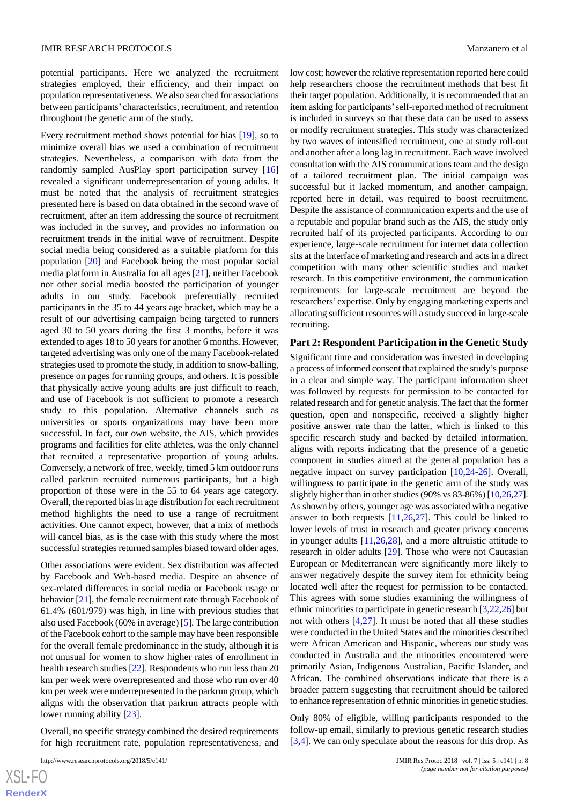potential participants. Here we analyzed the recruitment strategies employed, their efficiency, and their impact on population representativeness. We also searched for associations between participants' characteristics, recruitment, and retention throughout the genetic arm of the study.

Every recruitment method shows potential for bias [\[19](#page-10-1)], so to minimize overall bias we used a combination of recruitment strategies. Nevertheless, a comparison with data from the randomly sampled AusPlay sport participation survey [\[16](#page-9-15)] revealed a significant underrepresentation of young adults. It must be noted that the analysis of recruitment strategies presented here is based on data obtained in the second wave of recruitment, after an item addressing the source of recruitment was included in the survey, and provides no information on recruitment trends in the initial wave of recruitment. Despite social media being considered as a suitable platform for this population [\[20](#page-10-2)] and Facebook being the most popular social media platform in Australia for all ages [[21\]](#page-10-3), neither Facebook nor other social media boosted the participation of younger adults in our study. Facebook preferentially recruited participants in the 35 to 44 years age bracket, which may be a result of our advertising campaign being targeted to runners aged 30 to 50 years during the first 3 months, before it was extended to ages 18 to 50 years for another 6 months. However, targeted advertising was only one of the many Facebook-related strategies used to promote the study, in addition to snow-balling, presence on pages for running groups, and others. It is possible that physically active young adults are just difficult to reach, and use of Facebook is not sufficient to promote a research study to this population. Alternative channels such as universities or sports organizations may have been more successful. In fact, our own website, the AIS, which provides programs and facilities for elite athletes, was the only channel that recruited a representative proportion of young adults. Conversely, a network of free, weekly, timed 5 km outdoor runs called parkrun recruited numerous participants, but a high proportion of those were in the 55 to 64 years age category. Overall, the reported bias in age distribution for each recruitment method highlights the need to use a range of recruitment activities. One cannot expect, however, that a mix of methods will cancel bias, as is the case with this study where the most successful strategies returned samples biased toward older ages.

Other associations were evident. Sex distribution was affected by Facebook and Web-based media. Despite an absence of sex-related differences in social media or Facebook usage or behavior [[21\]](#page-10-3), the female recruitment rate through Facebook of 61.4% (601/979) was high, in line with previous studies that also used Facebook (60% in average) [\[5](#page-9-4)]. The large contribution of the Facebook cohort to the sample may have been responsible for the overall female predominance in the study, although it is not unusual for women to show higher rates of enrollment in health research studies [\[22](#page-10-4)]. Respondents who run less than 20 km per week were overrepresented and those who run over 40 km per week were underrepresented in the parkrun group, which aligns with the observation that parkrun attracts people with lower running ability [\[23](#page-10-5)].

Overall, no specific strategy combined the desired requirements for high recruitment rate, population representativeness, and

```
http://www.researchprotocols.org/2018/5/e141/ JMIR Res Protoc 2018 | vol. 7 | iss. 5 | e141 | p. 8
```
low cost; however the relative representation reported here could help researchers choose the recruitment methods that best fit their target population. Additionally, it is recommended that an item asking for participants'self-reported method of recruitment is included in surveys so that these data can be used to assess or modify recruitment strategies. This study was characterized by two waves of intensified recruitment, one at study roll-out and another after a long lag in recruitment. Each wave involved consultation with the AIS communications team and the design of a tailored recruitment plan. The initial campaign was successful but it lacked momentum, and another campaign, reported here in detail, was required to boost recruitment. Despite the assistance of communication experts and the use of a reputable and popular brand such as the AIS, the study only recruited half of its projected participants. According to our experience, large-scale recruitment for internet data collection sits at the interface of marketing and research and acts in a direct competition with many other scientific studies and market research. In this competitive environment, the communication requirements for large-scale recruitment are beyond the researchers'expertise. Only by engaging marketing experts and allocating sufficient resources will a study succeed in large-scale recruiting.

### **Part 2: Respondent Participation in the Genetic Study**

Significant time and consideration was invested in developing a process of informed consent that explained the study's purpose in a clear and simple way. The participant information sheet was followed by requests for permission to be contacted for related research and for genetic analysis. The fact that the former question, open and nonspecific, received a slightly higher positive answer rate than the latter, which is linked to this specific research study and backed by detailed information, aligns with reports indicating that the presence of a genetic component in studies aimed at the general population has a negative impact on survey participation [[10,](#page-9-9)[24](#page-10-6)[-26](#page-10-7)]. Overall, willingness to participate in the genetic arm of the study was slightly higher than in other studies (90% vs 83-86%) [\[10](#page-9-9)[,26](#page-10-7)[,27](#page-10-8)]. As shown by others, younger age was associated with a negative answer to both requests [[11,](#page-9-10)[26](#page-10-7),[27\]](#page-10-8). This could be linked to lower levels of trust in research and greater privacy concerns in younger adults  $[11,26,28]$  $[11,26,28]$  $[11,26,28]$  $[11,26,28]$  $[11,26,28]$ , and a more altruistic attitude to research in older adults [[29\]](#page-10-10). Those who were not Caucasian European or Mediterranean were significantly more likely to answer negatively despite the survey item for ethnicity being located well after the request for permission to be contacted. This agrees with some studies examining the willingness of ethnic minorities to participate in genetic research [[3](#page-9-2)[,22](#page-10-4),[26\]](#page-10-7) but not with others [\[4](#page-9-3),[27\]](#page-10-8). It must be noted that all these studies were conducted in the United States and the minorities described were African American and Hispanic, whereas our study was conducted in Australia and the minorities encountered were primarily Asian, Indigenous Australian, Pacific Islander, and African. The combined observations indicate that there is a broader pattern suggesting that recruitment should be tailored to enhance representation of ethnic minorities in genetic studies.

Only 80% of eligible, willing participants responded to the follow-up email, similarly to previous genetic research studies [[3](#page-9-2)[,4\]](#page-9-3). We can only speculate about the reasons for this drop. As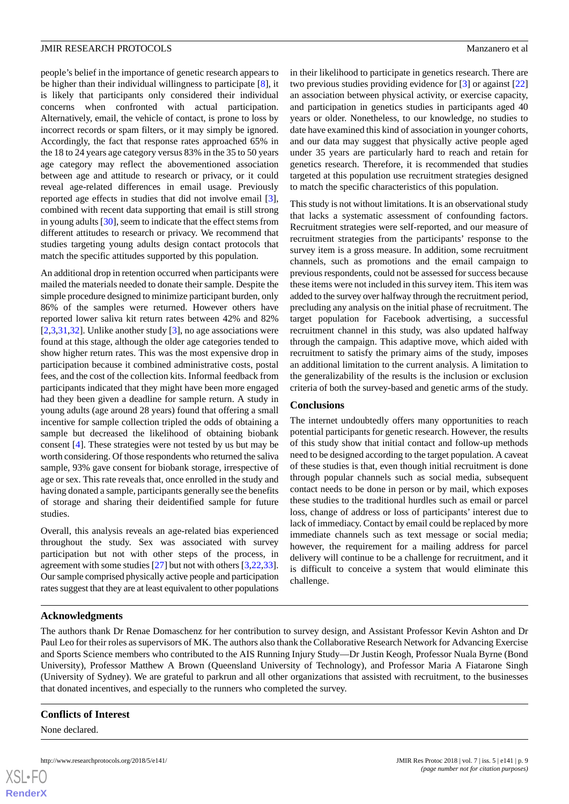people's belief in the importance of genetic research appears to be higher than their individual willingness to participate [[8\]](#page-9-7), it is likely that participants only considered their individual concerns when confronted with actual participation. Alternatively, email, the vehicle of contact, is prone to loss by incorrect records or spam filters, or it may simply be ignored. Accordingly, the fact that response rates approached 65% in the 18 to 24 years age category versus 83% in the 35 to 50 years age category may reflect the abovementioned association between age and attitude to research or privacy, or it could reveal age-related differences in email usage. Previously reported age effects in studies that did not involve email [[3\]](#page-9-2), combined with recent data supporting that email is still strong in young adults [\[30](#page-10-11)], seem to indicate that the effect stems from different attitudes to research or privacy. We recommend that studies targeting young adults design contact protocols that match the specific attitudes supported by this population.

An additional drop in retention occurred when participants were mailed the materials needed to donate their sample. Despite the simple procedure designed to minimize participant burden, only 86% of the samples were returned. However others have reported lower saliva kit return rates between 42% and 82% [ $2,3,31,32$  $2,3,31,32$  $2,3,31,32$  $2,3,31,32$  $2,3,31,32$ ]. Unlike another study [ $3$ ], no age associations were found at this stage, although the older age categories tended to show higher return rates. This was the most expensive drop in participation because it combined administrative costs, postal fees, and the cost of the collection kits. Informal feedback from participants indicated that they might have been more engaged had they been given a deadline for sample return. A study in young adults (age around 28 years) found that offering a small incentive for sample collection tripled the odds of obtaining a sample but decreased the likelihood of obtaining biobank consent [\[4](#page-9-3)]. These strategies were not tested by us but may be worth considering. Of those respondents who returned the saliva sample, 93% gave consent for biobank storage, irrespective of age or sex. This rate reveals that, once enrolled in the study and having donated a sample, participants generally see the benefits of storage and sharing their deidentified sample for future studies.

Overall, this analysis reveals an age-related bias experienced throughout the study. Sex was associated with survey participation but not with other steps of the process, in agreement with some studies [[27\]](#page-10-8) but not with others [[3](#page-9-2)[,22](#page-10-4),[33\]](#page-10-14). Our sample comprised physically active people and participation rates suggest that they are at least equivalent to other populations

in their likelihood to participate in genetics research. There are two previous studies providing evidence for [[3\]](#page-9-2) or against [\[22](#page-10-4)] an association between physical activity, or exercise capacity, and participation in genetics studies in participants aged 40 years or older. Nonetheless, to our knowledge, no studies to date have examined this kind of association in younger cohorts, and our data may suggest that physically active people aged under 35 years are particularly hard to reach and retain for genetics research. Therefore, it is recommended that studies targeted at this population use recruitment strategies designed to match the specific characteristics of this population.

This study is not without limitations. It is an observational study that lacks a systematic assessment of confounding factors. Recruitment strategies were self-reported, and our measure of recruitment strategies from the participants' response to the survey item is a gross measure. In addition, some recruitment channels, such as promotions and the email campaign to previous respondents, could not be assessed for success because these items were not included in this survey item. This item was added to the survey over halfway through the recruitment period, precluding any analysis on the initial phase of recruitment. The target population for Facebook advertising, a successful recruitment channel in this study, was also updated halfway through the campaign. This adaptive move, which aided with recruitment to satisfy the primary aims of the study, imposes an additional limitation to the current analysis. A limitation to the generalizability of the results is the inclusion or exclusion criteria of both the survey-based and genetic arms of the study.

### **Conclusions**

The internet undoubtedly offers many opportunities to reach potential participants for genetic research. However, the results of this study show that initial contact and follow-up methods need to be designed according to the target population. A caveat of these studies is that, even though initial recruitment is done through popular channels such as social media, subsequent contact needs to be done in person or by mail, which exposes these studies to the traditional hurdles such as email or parcel loss, change of address or loss of participants' interest due to lack of immediacy. Contact by email could be replaced by more immediate channels such as text message or social media; however, the requirement for a mailing address for parcel delivery will continue to be a challenge for recruitment, and it is difficult to conceive a system that would eliminate this challenge.

### **Acknowledgments**

The authors thank Dr Renae Domaschenz for her contribution to survey design, and Assistant Professor Kevin Ashton and Dr Paul Leo for their roles as supervisors of MK. The authors also thank the Collaborative Research Network for Advancing Exercise and Sports Science members who contributed to the AIS Running Injury Study—Dr Justin Keogh, Professor Nuala Byrne (Bond University), Professor Matthew A Brown (Queensland University of Technology), and Professor Maria A Fiatarone Singh (University of Sydney). We are grateful to parkrun and all other organizations that assisted with recruitment, to the businesses that donated incentives, and especially to the runners who completed the survey.

### **Conflicts of Interest**

None declared.

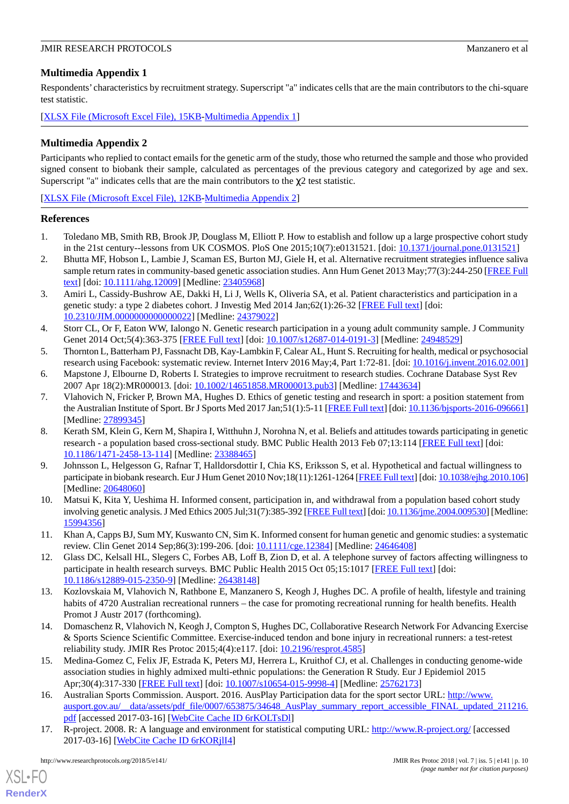### <span id="page-9-17"></span>**Multimedia Appendix 1**

Respondents' characteristics by recruitment strategy. Superscript "a" indicates cells that are the main contributors to the chi-square test statistic.

<span id="page-9-18"></span>[[XLSX File \(Microsoft Excel File\), 15KB-Multimedia Appendix 1](https://jmir.org/api/download?alt_name=resprot_v7i5e141_app1.xlsx&filename=bb2023bf0b31bbcd09dfa2df331a82cc.xlsx)]

### **Multimedia Appendix 2**

Participants who replied to contact emails for the genetic arm of the study, those who returned the sample and those who provided signed consent to biobank their sample, calculated as percentages of the previous category and categorized by age and sex. Superscript "a" indicates cells that are the main contributors to the  $\chi$ 2 test statistic.

[[XLSX File \(Microsoft Excel File\), 12KB-Multimedia Appendix 2](https://jmir.org/api/download?alt_name=resprot_v7i5e141_app2.xlsx&filename=520732f2a71a5cc96ff3b30f272bf30c.xlsx)]

### <span id="page-9-0"></span>**References**

- <span id="page-9-1"></span>1. Toledano MB, Smith RB, Brook JP, Douglass M, Elliott P. How to establish and follow up a large prospective cohort study in the 21st century--lessons from UK COSMOS. PloS One 2015;10(7):e0131521. [doi: [10.1371/journal.pone.0131521](http://dx.doi.org/10.1371/journal.pone.0131521)]
- <span id="page-9-2"></span>2. Bhutta MF, Hobson L, Lambie J, Scaman ES, Burton MJ, Giele H, et al. Alternative recruitment strategies influence saliva sample return rates in community-based genetic association studies. Ann Hum Genet 2013 May;77(3):244-250 [\[FREE Full](http://dx.doi.org/10.1111/ahg.12009) [text](http://dx.doi.org/10.1111/ahg.12009)] [doi: [10.1111/ahg.12009\]](http://dx.doi.org/10.1111/ahg.12009) [Medline: [23405968\]](http://www.ncbi.nlm.nih.gov/entrez/query.fcgi?cmd=Retrieve&db=PubMed&list_uids=23405968&dopt=Abstract)
- <span id="page-9-3"></span>3. Amiri L, Cassidy-Bushrow AE, Dakki H, Li J, Wells K, Oliveria SA, et al. Patient characteristics and participation in a genetic study: a type 2 diabetes cohort. J Investig Med 2014 Jan;62(1):26-32 [\[FREE Full text\]](http://europepmc.org/abstract/MED/24379022) [doi: [10.2310/JIM.0000000000000022](http://dx.doi.org/10.2310/JIM.0000000000000022)] [Medline: [24379022](http://www.ncbi.nlm.nih.gov/entrez/query.fcgi?cmd=Retrieve&db=PubMed&list_uids=24379022&dopt=Abstract)]
- <span id="page-9-5"></span><span id="page-9-4"></span>4. Storr CL, Or F, Eaton WW, Ialongo N. Genetic research participation in a young adult community sample. J Community Genet 2014 Oct;5(4):363-375 [\[FREE Full text\]](http://europepmc.org/abstract/MED/24948529) [doi: [10.1007/s12687-014-0191-3](http://dx.doi.org/10.1007/s12687-014-0191-3)] [Medline: [24948529\]](http://www.ncbi.nlm.nih.gov/entrez/query.fcgi?cmd=Retrieve&db=PubMed&list_uids=24948529&dopt=Abstract)
- <span id="page-9-6"></span>5. Thornton L, Batterham PJ, Fassnacht DB, Kay-Lambkin F, Calear AL, Hunt S. Recruiting for health, medical or psychosocial research using Facebook: systematic review. Internet Interv 2016 May;4, Part 1:72-81. [doi: [10.1016/j.invent.2016.02.001](http://dx.doi.org/10.1016/j.invent.2016.02.001)]
- 6. Mapstone J, Elbourne D, Roberts I. Strategies to improve recruitment to research studies. Cochrane Database Syst Rev 2007 Apr 18(2):MR000013. [doi: [10.1002/14651858.MR000013.pub3](http://dx.doi.org/10.1002/14651858.MR000013.pub3)] [Medline: [17443634](http://www.ncbi.nlm.nih.gov/entrez/query.fcgi?cmd=Retrieve&db=PubMed&list_uids=17443634&dopt=Abstract)]
- <span id="page-9-7"></span>7. Vlahovich N, Fricker P, Brown MA, Hughes D. Ethics of genetic testing and research in sport: a position statement from the Australian Institute of Sport. Br J Sports Med 2017 Jan;51(1):5-11 [\[FREE Full text\]](http://bjsm.bmj.com/cgi/pmidlookup?view=long&pmid=27899345) [doi: [10.1136/bjsports-2016-096661\]](http://dx.doi.org/10.1136/bjsports-2016-096661) [Medline: [27899345](http://www.ncbi.nlm.nih.gov/entrez/query.fcgi?cmd=Retrieve&db=PubMed&list_uids=27899345&dopt=Abstract)]
- <span id="page-9-8"></span>8. Kerath SM, Klein G, Kern M, Shapira I, Witthuhn J, Norohna N, et al. Beliefs and attitudes towards participating in genetic research - a population based cross-sectional study. BMC Public Health 2013 Feb 07;13:114 [[FREE Full text](https://bmcpublichealth.biomedcentral.com/articles/10.1186/1471-2458-13-114)] [doi: [10.1186/1471-2458-13-114\]](http://dx.doi.org/10.1186/1471-2458-13-114) [Medline: [23388465\]](http://www.ncbi.nlm.nih.gov/entrez/query.fcgi?cmd=Retrieve&db=PubMed&list_uids=23388465&dopt=Abstract)
- <span id="page-9-10"></span><span id="page-9-9"></span>9. Johnsson L, Helgesson G, Rafnar T, Halldorsdottir I, Chia KS, Eriksson S, et al. Hypothetical and factual willingness to participate in biobank research. Eur J Hum Genet 2010 Nov;18(11):1261-1264 [[FREE Full text\]](http://dx.doi.org/10.1038/ejhg.2010.106) [doi: [10.1038/ejhg.2010.106\]](http://dx.doi.org/10.1038/ejhg.2010.106) [Medline: [20648060](http://www.ncbi.nlm.nih.gov/entrez/query.fcgi?cmd=Retrieve&db=PubMed&list_uids=20648060&dopt=Abstract)]
- <span id="page-9-11"></span>10. Matsui K, Kita Y, Ueshima H. Informed consent, participation in, and withdrawal from a population based cohort study involving genetic analysis. J Med Ethics 2005 Jul;31(7):385-392 [\[FREE Full text\]](http://europepmc.org/abstract/MED/15994356) [doi: [10.1136/jme.2004.009530\]](http://dx.doi.org/10.1136/jme.2004.009530) [Medline: [15994356](http://www.ncbi.nlm.nih.gov/entrez/query.fcgi?cmd=Retrieve&db=PubMed&list_uids=15994356&dopt=Abstract)]
- <span id="page-9-12"></span>11. Khan A, Capps BJ, Sum MY, Kuswanto CN, Sim K. Informed consent for human genetic and genomic studies: a systematic review. Clin Genet 2014 Sep;86(3):199-206. [doi: [10.1111/cge.12384\]](http://dx.doi.org/10.1111/cge.12384) [Medline: [24646408\]](http://www.ncbi.nlm.nih.gov/entrez/query.fcgi?cmd=Retrieve&db=PubMed&list_uids=24646408&dopt=Abstract)
- <span id="page-9-13"></span>12. Glass DC, Kelsall HL, Slegers C, Forbes AB, Loff B, Zion D, et al. A telephone survey of factors affecting willingness to participate in health research surveys. BMC Public Health 2015 Oct 05;15:1017 [\[FREE Full text\]](https://bmcpublichealth.biomedcentral.com/articles/10.1186/s12889-015-2350-9) [doi: [10.1186/s12889-015-2350-9\]](http://dx.doi.org/10.1186/s12889-015-2350-9) [Medline: [26438148](http://www.ncbi.nlm.nih.gov/entrez/query.fcgi?cmd=Retrieve&db=PubMed&list_uids=26438148&dopt=Abstract)]
- <span id="page-9-14"></span>13. Kozlovskaia M, Vlahovich N, Rathbone E, Manzanero S, Keogh J, Hughes DC. A profile of health, lifestyle and training habits of 4720 Australian recreational runners – the case for promoting recreational running for health benefits. Health Promot J Austr 2017 (forthcoming).
- <span id="page-9-15"></span>14. Domaschenz R, Vlahovich N, Keogh J, Compton S, Hughes DC, Collaborative Research Network For Advancing Exercise & Sports Science Scientific Committee. Exercise-induced tendon and bone injury in recreational runners: a test-retest reliability study. JMIR Res Protoc 2015;4(4):e117. [doi: [10.2196/resprot.4585\]](http://dx.doi.org/10.2196/resprot.4585)
- <span id="page-9-16"></span>15. Medina-Gomez C, Felix JF, Estrada K, Peters MJ, Herrera L, Kruithof CJ, et al. Challenges in conducting genome-wide association studies in highly admixed multi-ethnic populations: the Generation R Study. Eur J Epidemiol 2015 Apr;30(4):317-330 [\[FREE Full text\]](http://europepmc.org/abstract/MED/25762173) [doi: [10.1007/s10654-015-9998-4](http://dx.doi.org/10.1007/s10654-015-9998-4)] [Medline: [25762173](http://www.ncbi.nlm.nih.gov/entrez/query.fcgi?cmd=Retrieve&db=PubMed&list_uids=25762173&dopt=Abstract)]
- 16. Australian Sports Commission. Ausport. 2016. AusPlay Participation data for the sport sector URL: [http://www.](http://www.ausport.gov.au/__data/assets/pdf_file/0007/653875/34648_AusPlay_summary_report_accessible_FINAL_updated_211216.pdf) [ausport.gov.au/\\_\\_data/assets/pdf\\_file/0007/653875/34648\\_AusPlay\\_summary\\_report\\_accessible\\_FINAL\\_updated\\_211216.](http://www.ausport.gov.au/__data/assets/pdf_file/0007/653875/34648_AusPlay_summary_report_accessible_FINAL_updated_211216.pdf) [pdf](http://www.ausport.gov.au/__data/assets/pdf_file/0007/653875/34648_AusPlay_summary_report_accessible_FINAL_updated_211216.pdf) [accessed 2017-03-16] [[WebCite Cache ID 6rKOLTsDl](http://www.webcitation.org/

                                6rKOLTsDl)]
- 17. R-project. 2008. R: A language and environment for statistical computing URL:<http://www.R-project.org/> [accessed 2017-03-16] [\[WebCite Cache ID 6rKORjlI4](http://www.webcitation.org/

                                6rKORjlI4)]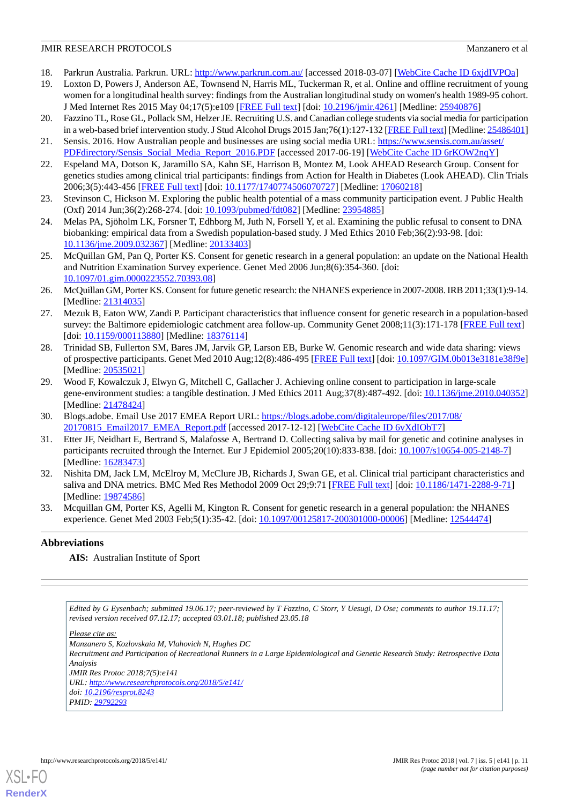- <span id="page-10-1"></span><span id="page-10-0"></span>18. Parkrun Australia. Parkrun. URL: <http://www.parkrun.com.au/> [accessed 2018-03-07] [\[WebCite Cache ID 6xjdIVPQa](http://www.webcitation.org/

                                6xjdIVPQa)]
- 19. Loxton D, Powers J, Anderson AE, Townsend N, Harris ML, Tuckerman R, et al. Online and offline recruitment of young women for a longitudinal health survey: findings from the Australian longitudinal study on women's health 1989-95 cohort. J Med Internet Res 2015 May 04;17(5):e109 [[FREE Full text](http://www.jmir.org/2015/5/e109/)] [doi: [10.2196/jmir.4261](http://dx.doi.org/10.2196/jmir.4261)] [Medline: [25940876\]](http://www.ncbi.nlm.nih.gov/entrez/query.fcgi?cmd=Retrieve&db=PubMed&list_uids=25940876&dopt=Abstract)
- <span id="page-10-3"></span><span id="page-10-2"></span>20. Fazzino TL, Rose GL, Pollack SM, Helzer JE. Recruiting U.S. and Canadian college students via social media for participation in a web-based brief intervention study. J Stud Alcohol Drugs 2015 Jan;76(1):127-132 [[FREE Full text](http://europepmc.org/abstract/MED/25486401)] [Medline: [25486401\]](http://www.ncbi.nlm.nih.gov/entrez/query.fcgi?cmd=Retrieve&db=PubMed&list_uids=25486401&dopt=Abstract)
- <span id="page-10-4"></span>21. Sensis. 2016. How Australian people and businesses are using social media URL: [https://www.sensis.com.au/asset/](https://www.sensis.com.au/asset/PDFdirectory/Sensis_Social_Media_Report_2016.PDF) [PDFdirectory/Sensis\\_Social\\_Media\\_Report\\_2016.PDF](https://www.sensis.com.au/asset/PDFdirectory/Sensis_Social_Media_Report_2016.PDF) [accessed 2017-06-19] [\[WebCite Cache ID 6rKOW2nqY\]](http://www.webcitation.org/

                                6rKOW2nqY)
- <span id="page-10-5"></span>22. Espeland MA, Dotson K, Jaramillo SA, Kahn SE, Harrison B, Montez M, Look AHEAD Research Group. Consent for genetics studies among clinical trial participants: findings from Action for Health in Diabetes (Look AHEAD). Clin Trials 2006;3(5):443-456 [[FREE Full text](http://europepmc.org/abstract/MED/17060218)] [doi: [10.1177/1740774506070727\]](http://dx.doi.org/10.1177/1740774506070727) [Medline: [17060218\]](http://www.ncbi.nlm.nih.gov/entrez/query.fcgi?cmd=Retrieve&db=PubMed&list_uids=17060218&dopt=Abstract)
- <span id="page-10-6"></span>23. Stevinson C, Hickson M. Exploring the public health potential of a mass community participation event. J Public Health (Oxf) 2014 Jun;36(2):268-274. [doi: [10.1093/pubmed/fdt082\]](http://dx.doi.org/10.1093/pubmed/fdt082) [Medline: [23954885\]](http://www.ncbi.nlm.nih.gov/entrez/query.fcgi?cmd=Retrieve&db=PubMed&list_uids=23954885&dopt=Abstract)
- 24. Melas PA, Sjöholm LK, Forsner T, Edhborg M, Juth N, Forsell Y, et al. Examining the public refusal to consent to DNA biobanking: empirical data from a Swedish population-based study. J Med Ethics 2010 Feb;36(2):93-98. [doi: [10.1136/jme.2009.032367\]](http://dx.doi.org/10.1136/jme.2009.032367) [Medline: [20133403\]](http://www.ncbi.nlm.nih.gov/entrez/query.fcgi?cmd=Retrieve&db=PubMed&list_uids=20133403&dopt=Abstract)
- <span id="page-10-7"></span>25. McQuillan GM, Pan Q, Porter KS. Consent for genetic research in a general population: an update on the National Health and Nutrition Examination Survey experience. Genet Med 2006 Jun;8(6):354-360. [doi: [10.1097/01.gim.0000223552.70393.08](http://dx.doi.org/10.1097/01.gim.0000223552.70393.08)]
- <span id="page-10-8"></span>26. McQuillan GM, Porter KS. Consent for future genetic research: the NHANES experience in 2007-2008. IRB 2011;33(1):9-14. [Medline: [21314035](http://www.ncbi.nlm.nih.gov/entrez/query.fcgi?cmd=Retrieve&db=PubMed&list_uids=21314035&dopt=Abstract)]
- <span id="page-10-9"></span>27. Mezuk B, Eaton WW, Zandi P. Participant characteristics that influence consent for genetic research in a population-based survey: the Baltimore epidemiologic catchment area follow-up. Community Genet 2008;11(3):171-178 [\[FREE Full text\]](https://www.karger.com?DOI=10.1159/000113880) [doi: [10.1159/000113880](http://dx.doi.org/10.1159/000113880)] [Medline: [18376114\]](http://www.ncbi.nlm.nih.gov/entrez/query.fcgi?cmd=Retrieve&db=PubMed&list_uids=18376114&dopt=Abstract)
- <span id="page-10-10"></span>28. Trinidad SB, Fullerton SM, Bares JM, Jarvik GP, Larson EB, Burke W. Genomic research and wide data sharing: views of prospective participants. Genet Med 2010 Aug;12(8):486-495 [[FREE Full text\]](http://europepmc.org/abstract/MED/20535021) [doi: [10.1097/GIM.0b013e3181e38f9e](http://dx.doi.org/10.1097/GIM.0b013e3181e38f9e)] [Medline: [20535021](http://www.ncbi.nlm.nih.gov/entrez/query.fcgi?cmd=Retrieve&db=PubMed&list_uids=20535021&dopt=Abstract)]
- <span id="page-10-12"></span><span id="page-10-11"></span>29. Wood F, Kowalczuk J, Elwyn G, Mitchell C, Gallacher J. Achieving online consent to participation in large-scale gene-environment studies: a tangible destination. J Med Ethics 2011 Aug;37(8):487-492. [doi: [10.1136/jme.2010.040352](http://dx.doi.org/10.1136/jme.2010.040352)] [Medline: [21478424](http://www.ncbi.nlm.nih.gov/entrez/query.fcgi?cmd=Retrieve&db=PubMed&list_uids=21478424&dopt=Abstract)]
- <span id="page-10-13"></span>30. Blogs.adobe. Email Use 2017 EMEA Report URL: [https://blogs.adobe.com/digitaleurope/files/2017/08/](https://blogs.adobe.com/digitaleurope/files/2017/08/20170815_Email2017_EMEA_Report.pdf) [20170815\\_Email2017\\_EMEA\\_Report.pdf](https://blogs.adobe.com/digitaleurope/files/2017/08/20170815_Email2017_EMEA_Report.pdf) [accessed 2017-12-12] [[WebCite Cache ID 6vXdIObT7\]](http://www.webcitation.org/

                                6vXdIObT7)
- 31. Etter JF, Neidhart E, Bertrand S, Malafosse A, Bertrand D. Collecting saliva by mail for genetic and cotinine analyses in participants recruited through the Internet. Eur J Epidemiol 2005;20(10):833-838. [doi: [10.1007/s10654-005-2148-7\]](http://dx.doi.org/10.1007/s10654-005-2148-7) [Medline: [16283473](http://www.ncbi.nlm.nih.gov/entrez/query.fcgi?cmd=Retrieve&db=PubMed&list_uids=16283473&dopt=Abstract)]
- <span id="page-10-14"></span>32. Nishita DM, Jack LM, McElroy M, McClure JB, Richards J, Swan GE, et al. Clinical trial participant characteristics and saliva and DNA metrics. BMC Med Res Methodol 2009 Oct 29;9:71 [\[FREE Full text\]](https://bmcmedresmethodol.biomedcentral.com/articles/10.1186/1471-2288-9-71) [doi: [10.1186/1471-2288-9-71](http://dx.doi.org/10.1186/1471-2288-9-71)] [Medline: [19874586](http://www.ncbi.nlm.nih.gov/entrez/query.fcgi?cmd=Retrieve&db=PubMed&list_uids=19874586&dopt=Abstract)]
- 33. Mcquillan GM, Porter KS, Agelli M, Kington R. Consent for genetic research in a general population: the NHANES experience. Genet Med 2003 Feb;5(1):35-42. [doi: [10.1097/00125817-200301000-00006](http://dx.doi.org/10.1097/00125817-200301000-00006)] [Medline: [12544474](http://www.ncbi.nlm.nih.gov/entrez/query.fcgi?cmd=Retrieve&db=PubMed&list_uids=12544474&dopt=Abstract)]

### **Abbreviations**

**AIS:** Australian Institute of Sport

*Edited by G Eysenbach; submitted 19.06.17; peer-reviewed by T Fazzino, C Storr, Y Uesugi, D Ose; comments to author 19.11.17; revised version received 07.12.17; accepted 03.01.18; published 23.05.18*

*Please cite as:*

*Manzanero S, Kozlovskaia M, Vlahovich N, Hughes DC Recruitment and Participation of Recreational Runners in a Large Epidemiological and Genetic Research Study: Retrospective Data Analysis JMIR Res Protoc 2018;7(5):e141 URL: <http://www.researchprotocols.org/2018/5/e141/> doi: [10.2196/resprot.8243](http://dx.doi.org/10.2196/resprot.8243) PMID: [29792293](http://www.ncbi.nlm.nih.gov/entrez/query.fcgi?cmd=Retrieve&db=PubMed&list_uids=29792293&dopt=Abstract)*